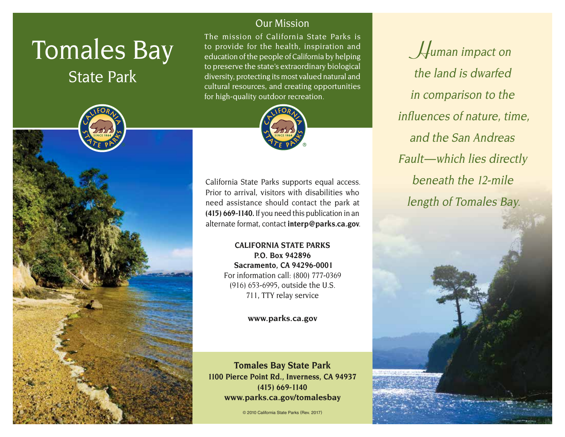# Tomales Bay

State Park



## Our Mission

The mission of California State Parks is to provide for the health, inspiration and education of the people of California by helping to preserve the state's extraordinary biological diversity, protecting its most valued natural and cultural resources, and creating opportunities for high-quality outdoor recreation.



California State Parks supports equal access. Prior to arrival, visitors with disabilities who need assistance should contact the park at **(415) 669-1140.** If you need this publication in an alternate format, contact **[interp@parks.ca.gov](mailto:interp@parks.ca.gov.)**.

> **CALIFORNIA STATE PARKS P.O. Box 942896 Sacramento, CA 94296-0001** For information call: (800) 777-0369 (916) 653-6995, outside the U.S. 711, TTY relay service

#### **[www.parks.ca.gov](http://www.parks.ca.gov)**

**Tomales Bay State Park 1100 Pierce Point Rd., Inverness, CA 94937 (415) 669-1140** www.parks.ca.gov/tomalesbay

© 2010 California State Parks (Rev. 2017)

**H**uman impact on the land is dwarfed in comparison to the influences of nature, time, and the San Andreas Fault-which lies directly beneath the 12-mile length of Tomales Bay.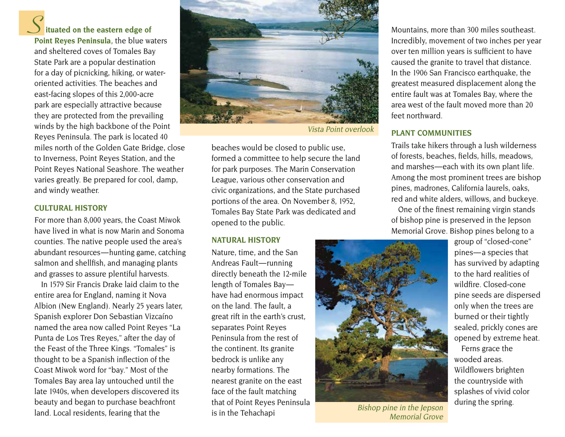### **ituated on the eastern edge of S**

**Point Reyes Peninsula,** the blue waters and sheltered coves of Tomales Bay State Park are a popular destination for a day of picnicking, hiking, or wateroriented activities. The beaches and east-facing slopes of this 2,000-acre park are especially attractive because they are protected from the prevailing winds by the high backbone of the Point Reyes Peninsula. The park is located 40 miles north of the Golden Gate Bridge, close to Inverness, Point Reyes Station, and the Point Reyes National Seashore. The weather varies greatly. Be prepared for cool, damp, and windy weather.

#### **CULTURAL HISTORY**

For more than 8,000 years, the Coast Miwok have lived in what is now Marin and Sonoma counties. The native people used the area's abundant resources — hunting game, catching salmon and shellfish, and managing plants and grasses to assure plentiful harvests.

In 1579 Sir Francis Drake laid claim to the entire area for England, naming it Nova Albion (New England). Nearly 25 years later, Spanish explorer Don Sebastian Vizcaíno named the area now called Point Reyes "La Punta de Los Tres Reyes," after the day of the Feast of the Three Kings. "Tomales" is thought to be a Spanish inflection of the Coast Miwok word for "bay." Most of the Tomales Bay area lay untouched until the late 1940s, when developers discovered its beauty and began to purchase beachfront land. Local residents, fearing that the



Vista Point overlook

beaches would be closed to public use, formed a committee to help secure the land for park purposes. The Marin Conservation League, various other conservation and civic organizations, and the State purchased portions of the area. On November 8, 1952, Tomales Bay State Park was dedicated and opened to the public.

#### **NATURAL HISTORY**

Nature, time, and the San Andreas Fault-running directly beneath the 12-mile length of Tomales Bayhave had enormous impact on the land. The fault, a great rift in the earth's crust, separates Point Reyes Peninsula from the rest of the continent. Its granite bedrock is unlike any nearby formations. The nearest granite on the east face of the fault matching that of Point Reyes Peninsula is in the Tehachapi

Mountains, more than 300 miles southeast. Incredibly, movement of two inches per year over ten million years is sufficient to have caused the granite to travel that distance. In the 1906 San Francisco earthquake, the greatest measured displacement along the entire fault was at Tomales Bay, where the area west of the fault moved more than 20 feet northward.

#### **PLANT COMMUNITIES**

Trails take hikers through a lush wilderness of forests, beaches, fields, hills, meadows, and marshes — each with its own plant life. Among the most prominent trees are bishop pines, madrones, California laurels, oaks, red and white alders, willows, and buckeye.

One of the finest remaining virgin stands of bishop pine is preserved in the Jepson Memorial Grove. Bishop pines belong to a



Bishop pine in the Jepson Memorial Grove

group of "closed-cone" pines — a species that has survived by adapting to the hard realities of wildfire. Closed-cone pine seeds are dispersed only when the trees are burned or their tightly sealed, prickly cones are opened by extreme heat.

Ferns grace the wooded areas. Wildflowers brighten the countryside with splashes of vivid color during the spring.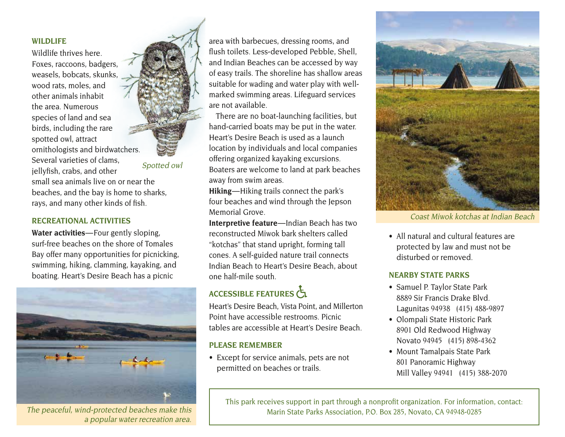#### **WILDLIFE**

Wildlife thrives here. Foxes, raccoons, badgers, weasels, bobcats, skunks, wood rats, moles, and other animals inhabit the area. Numerous species of land and sea birds, including the rare spotted owl, attract ornithologists and birdwatchers. Several varieties of clams, jellyfish, crabs, and other

small sea animals live on or near the beaches, and the bay is home to sharks, rays, and many other kinds of fish.

Spotted owl

#### **RECREATIONAL ACTIVITIES**

Water activities-Four gently sloping, surf-free beaches on the shore of Tomales Bay offer many opportunities for picnicking, swimming, hiking, clamming, kayaking, and boating. Heart's Desire Beach has a picnic



The peaceful, wind-protected beaches make this a popular water recreation area.

area with barbecues, dressing rooms, and flush toilets. Less-developed Pebble, Shell, and Indian Beaches can be accessed by way of easy trails. The shoreline has shallow areas suitable for wading and water play with wellmarked swimming areas. Lifeguard services are not available.

There are no boat-launching facilities, but hand-carried boats may be put in the water. Heart's Desire Beach is used as a launch location by individuals and local companies offering organized kayaking excursions. Boaters are welcome to land at park beaches away from swim areas.

**Hiking** — Hiking trails connect the park's four beaches and wind through the Jepson Memorial Grove.

**Interpretive feature**—Indian Beach has two reconstructed Miwok bark shelters called "kotchas" that stand upright, forming tall cones. A self-guided nature trail connects Indian Beach to Heart's Desire Beach, about one half-mile south.

# ACCESSIBLE FEATURES

Heart's Desire Beach, Vista Point, and Millerton Point have accessible restrooms. Picnic tables are accessible at Heart's Desire Beach.

#### **PLEASE REMEMBER**

• Except for service animals, pets are not permitted on beaches or trails.



Coast Miwok kotchas at Indian Beach

• All natural and cultural features are protected by law and must not be disturbed or removed

#### **NEARBY STATE PARKS**

- Samuel P. Taylor State Park 8889 Sir Francis Drake Blvd. Lagunitas 94938 (415) 488-9897
- Olompali State Historic Park 8901 Old Redwood Highway Novato 94945 (415) 898-4362
- Mount Tamalpais State Park 801 Panoramic Highway Mill Valley 94941 (415) 388-2070

This park receives support in part through a nonprofit organization. For information, contact: Marin State Parks Association, P.O. Box 285, Novato, CA 94948-0285